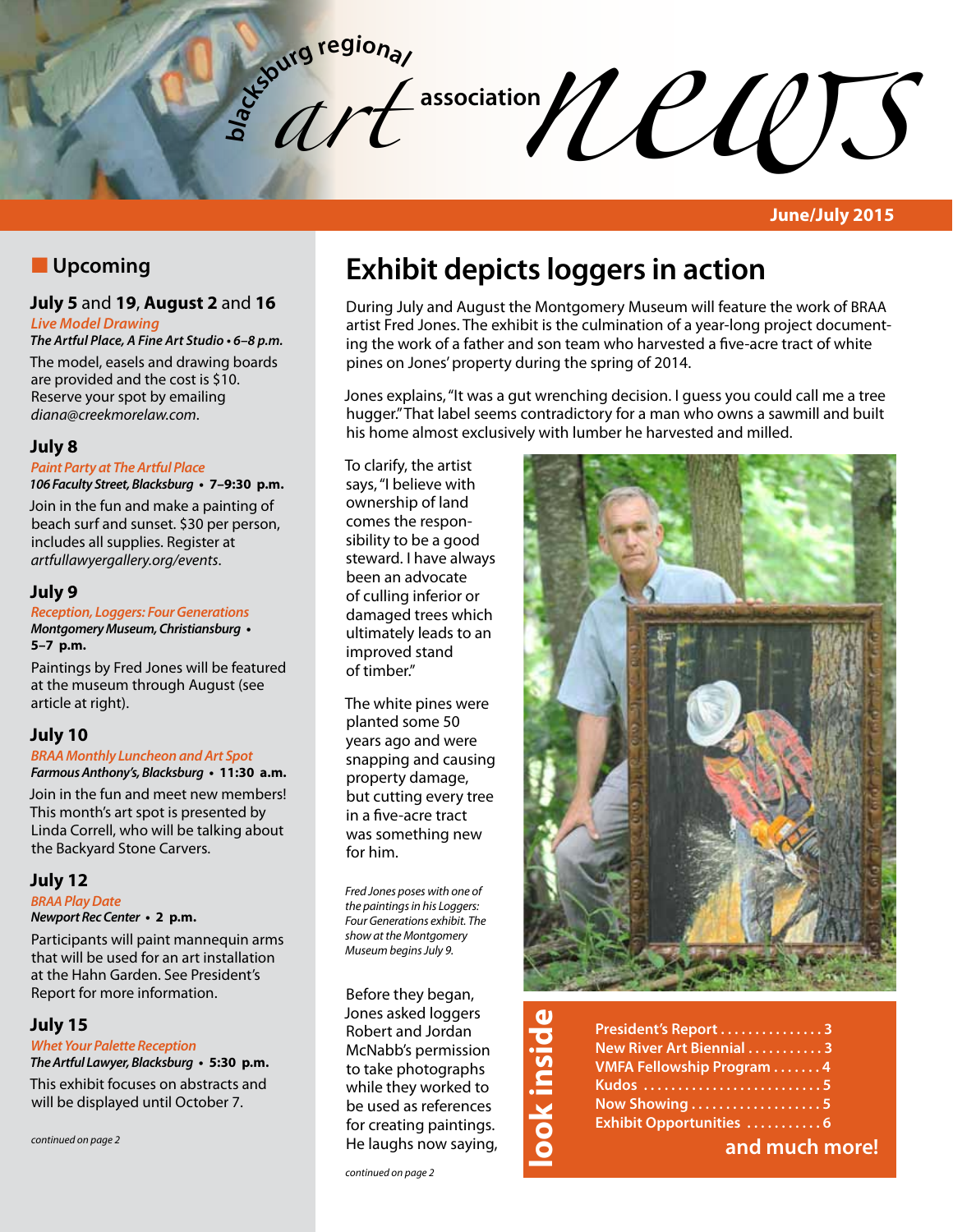association *news*<br> *news newspape newspape newspape newspape newspape newspape newspape newspape newspape newspape newspape newspape newspape newspape newspape newspape newspape newspap* **b**<sub>d</sub><sub>c</sub><sub>burg</sub> regional *art* 

**June/July 2015**

# **N** Upcoming

# **July 5** and **19**, **August 2** and **16**

*Live Model Drawing*

**The Artful Place, A Fine Art Studio • 6–8 p.m.** The model, easels and drawing boards are provided and the cost is \$10. Reserve your spot by emailing *diana@creekmorelaw.com*.

# **July 8**

### *Paint Party at The Artful Place*

**106 Faculty Street, Blacksburg • 7–9:30 p.m.**

Join in the fun and make a painting of beach surf and sunset. \$30 per person, includes all supplies. Register at *artfullawyergallery.org/events*.

### **July 9**

**Reception, Loggers: Four Generations Montgomery Museum, Christiansburg • 5–7 p.m.**

Paintings by Fred Jones will be featured at the museum through August (see article at right).

## **July 10**

**BRAA Monthly Luncheon and Art Spot Farmous Anthony's, Blacksburg • 11:30 a.m.**

Join in the fun and meet new members! This month's art spot is presented by Linda Correll, who will be talking about the Backyard Stone Carvers.

## **July 12**

**BRAA** *Play Date*

**Newport Rec Center • 2 p.m.**

Participants will paint mannequin arms that will be used for an art installation at the Hahn Garden. See President's Report for more information.

### **July 15**

**Whet Your Palette Reception The Artful Lawyer, Blacksburg • 5:30 p.m.**

This exhibit focuses on abstracts and will be displayed until October 7.

*continued on page 2*

# **Exhibit depicts loggers in action**

During July and August the Montgomery Museum will feature the work of BRAA artist Fred Jones. The exhibit is the culmination of a year-long project documenting the work of a father and son team who harvested a five-acre tract of white pines on Jones' property during the spring of 2014.

Jones explains, "It was a gut wrenching decision. I guess you could call me a tree hugger." That label seems contradictory for a man who owns a sawmill and built his home almost exclusively with lumber he harvested and milled.

To clarify, the artist says, "I believe with ownership of land comes the responsibility to be a good steward. I have always been an advocate of culling inferior or damaged trees which ultimately leads to an improved stand of timber."

The white pines were planted some 50 years ago and were snapping and causing property damage, but cutting every tree in a five-acre tract was something new for him.

*Fred Jones poses with one of the paintings in his Loggers: Four Generations exhibit. The show at the Montgomery Museum begins July 9.*

Before they began, Jones asked loggers Robert and Jordan McNabb's permission to take photographs while they worked to be used as references for creating paintings. He laughs now saying,



| <b>J</b>                | President's Report 3             |
|-------------------------|----------------------------------|
| $\overline{\mathbf{S}}$ | New River Art Biennial 3         |
| $\overline{u}$          | <b>VMFA Fellowship Program 4</b> |
| 금.                      |                                  |
| $\overline{\mathbf{v}}$ | Now Showing 5                    |
|                         | <b>Exhibit Opportunities  6</b>  |
|                         | and much more!                   |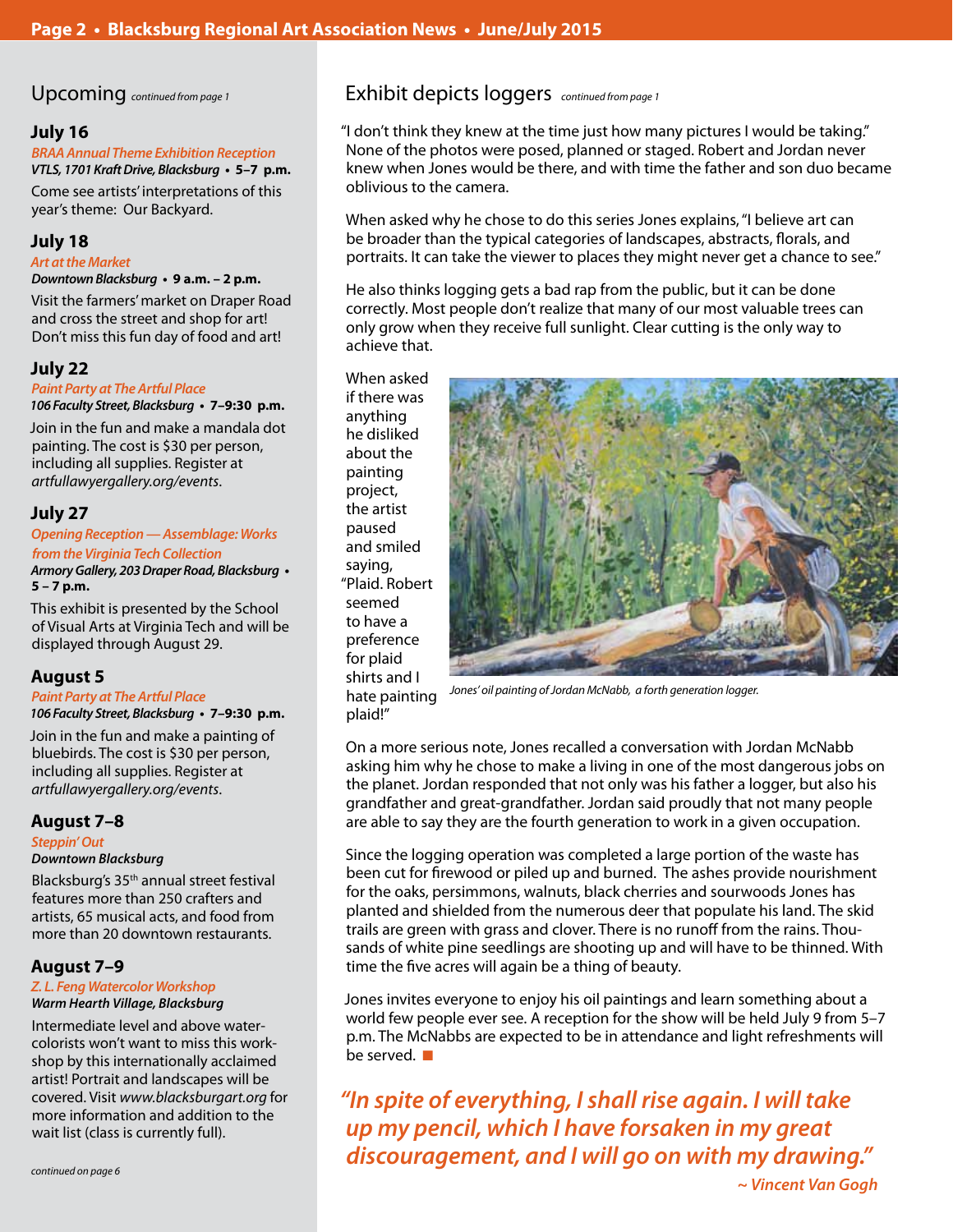### **July 16**

**BRAA Annual Theme Exhibition Reception VTLS, 1701 Kraft Drive, Blacksburg • 5–7 p.m.**

Come see artists' interpretations of this year's theme: Our Backyard.

## **July 18**

### **Art at the Market**

#### **Downtown Blacksburg • 9 a.m. – 2 p.m.**

Visit the farmers' market on Draper Road and cross the street and shop for art! Don't miss this fun day of food and art!

## **July 22**

#### *Paint Party at The Artful Place*

**106 Faculty Street, Blacksburg • 7–9:30 p.m.**

Join in the fun and make a mandala dot painting. The cost is \$30 per person, including all supplies. Register at *artfullawyergallery.org/events*.

## **July 27**

### **Opening Reception — Assemblage: Works from the Virginia Tech Collection**

**Armory Gallery, 203 Draper Road, Blacksburg • 5 – 7 p.m.**

This exhibit is presented by the School of Visual Arts at Virginia Tech and will be displayed through August 29.

## **August 5**

### *Paint Party at The Artful Place*

**106 Faculty Street, Blacksburg • 7–9:30 p.m.**

Join in the fun and make a painting of bluebirds. The cost is \$30 per person, including all supplies. Register at *artfullawyergallery.org/events*.

### **August 7–8**

### **Steppin' Out Downtown Blacksburg**

Blacksburg's 35th annual street festival features more than 250 crafters and artists, 65 musical acts, and food from more than 20 downtown restaurants.

## **August 7–9**

#### **Z. L. Feng Watercolor Workshop Warm Hearth Village, Blacksburg**

Intermediate level and above watercolorists won't want to miss this workshop by this internationally acclaimed artist! Portrait and landscapes will be covered. Visit *www.blacksburgart.org* for more information and addition to the wait list (class is currently full).

# Upcoming *continued from page 1* Exhibit depicts loggers *continued from page 1*

"I don't think they knew at the time just how many pictures I would be taking." None of the photos were posed, planned or staged. Robert and Jordan never knew when Jones would be there, and with time the father and son duo became oblivious to the camera.

When asked why he chose to do this series Jones explains, "I believe art can be broader than the typical categories of landscapes, abstracts, florals, and portraits. It can take the viewer to places they might never get a chance to see."

He also thinks logging gets a bad rap from the public, but it can be done correctly. Most people don't realize that many of our most valuable trees can only grow when they receive full sunlight. Clear cutting is the only way to achieve that.

When asked if there was anything he disliked about the painting project, the artist paused and smiled saying, "Plaid. Robert seemed to have a preference for plaid shirts and I hate painting plaid!"



*Jones' oil painting of Jordan McNabb, a forth generation logger.*

On a more serious note, Jones recalled a conversation with Jordan McNabb asking him why he chose to make a living in one of the most dangerous jobs on the planet. Jordan responded that not only was his father a logger, but also his grandfather and great-grandfather. Jordan said proudly that not many people are able to say they are the fourth generation to work in a given occupation.

Since the logging operation was completed a large portion of the waste has been cut for firewood or piled up and burned. The ashes provide nourishment for the oaks, persimmons, walnuts, black cherries and sourwoods Jones has planted and shielded from the numerous deer that populate his land. The skid trails are green with grass and clover. There is no runoff from the rains. Thousands of white pine seedlings are shooting up and will have to be thinned. With time the five acres will again be a thing of beauty.

Jones invites everyone to enjoy his oil paintings and learn something about a world few people ever see. A reception for the show will be held July 9 from 5–7 p.m. The McNabbs are expected to be in attendance and light refreshments will be served.  $\blacksquare$ 

**"In spite of everything, I shall rise again. I will take up my pencil, which I have forsaken in my great discouragement, and I will go on with my drawing."**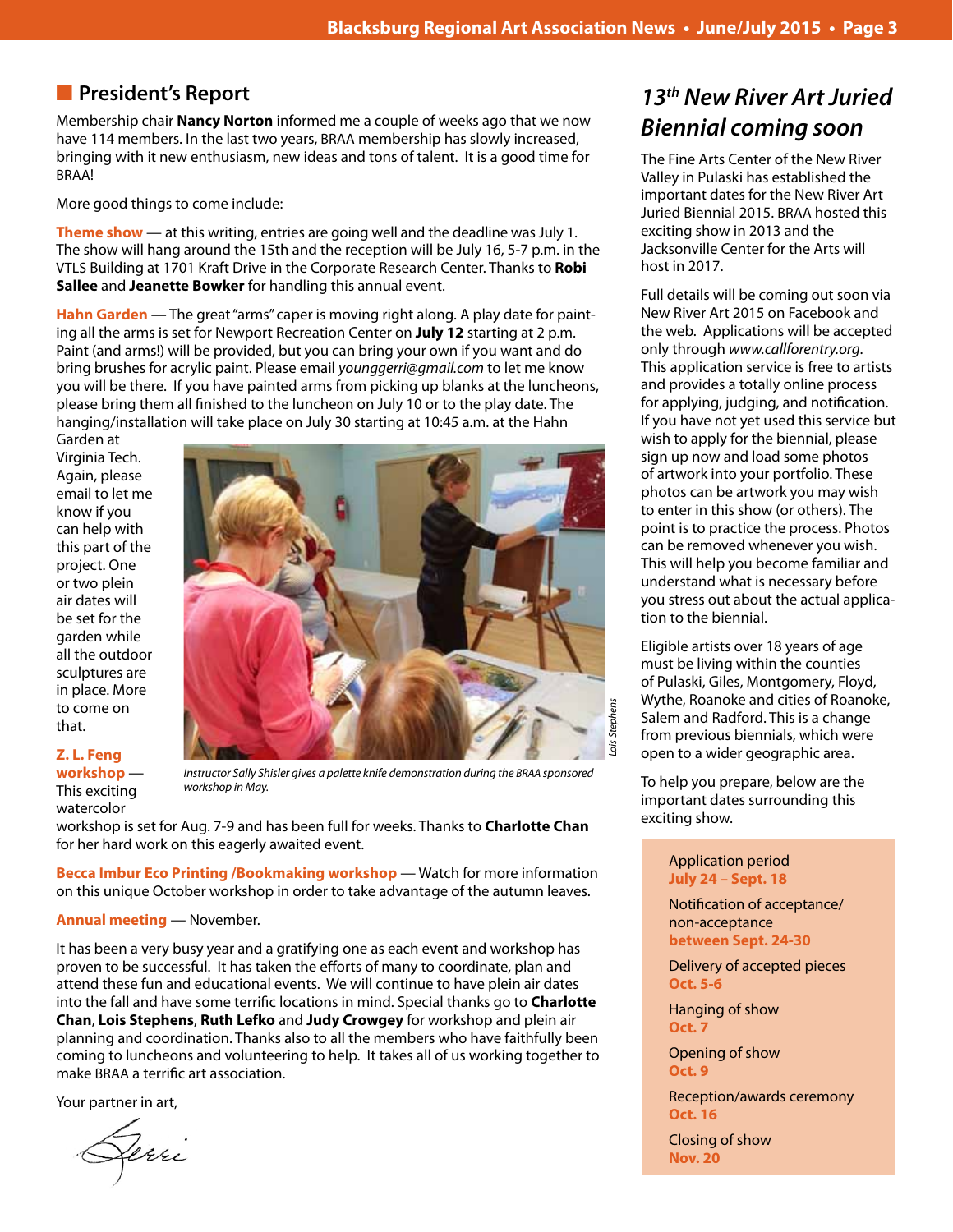# **n** President's Report

Membership chair **Nancy Norton** informed me a couple of weeks ago that we now have 114 members. In the last two years, BRAA membership has slowly increased, bringing with it new enthusiasm, new ideas and tons of talent. It is a good time for BRAA!

More good things to come include:

**Theme show** — at this writing, entries are going well and the deadline was July 1. The show will hang around the 15th and the reception will be July 16, 5-7 p.m. in the VTLS Building at 1701 Kraft Drive in the Corporate Research Center. Thanks to **Robi Sallee** and **Jeanette Bowker** for handling this annual event.

**Hahn Garden** — The great "arms" caper is moving right along. A play date for painting all the arms is set for Newport Recreation Center on **July 12** starting at 2 p.m. Paint (and arms!) will be provided, but you can bring your own if you want and do bring brushes for acrylic paint. Please email *younggerri@gmail.com* to let me know you will be there. If you have painted arms from picking up blanks at the luncheons, please bring them all finished to the luncheon on July 10 or to the play date. The hanging/installation will take place on July 30 starting at 10:45 a.m. at the Hahn

Garden at Virginia Tech. Again, please email to let me know if you can help with this part of the project. One or two plein air dates will be set for the garden while all the outdoor sculptures are in place. More to come on that.

#### **Z. L. Feng workshop** — This exciting watercolor



*Instructor Sally Shisler gives a palette knife demonstration during the BRAA sponsored workshop in May.*

workshop is set for Aug. 7-9 and has been full for weeks. Thanks to **Charlotte Chan** for her hard work on this eagerly awaited event.

**Becca Imbur Eco Printing /Bookmaking workshop** — Watch for more information on this unique October workshop in order to take advantage of the autumn leaves.

#### **Annual meeting** — November.

It has been a very busy year and a gratifying one as each event and workshop has proven to be successful. It has taken the efforts of many to coordinate, plan and attend these fun and educational events. We will continue to have plein air dates into the fall and have some terrific locations in mind. Special thanks go to **Charlotte Chan**, **Lois Stephens**, **Ruth Lefko** and **Judy Crowgey** for workshop and plein air planning and coordination. Thanks also to all the members who have faithfully been coming to luncheons and volunteering to help. It takes all of us working together to make BRAA a terrific art association.

Your partner in art,

Gerri

**13***th New River Art Juried*  **Biennial coming soon**

The Fine Arts Center of the New River Valley in Pulaski has established the important dates for the New River Art Juried Biennial 2015. BRAA hosted this exciting show in 2013 and the Jacksonville Center for the Arts will host in 2017.

Full details will be coming out soon via New River Art 2015 on Facebook and the web. Applications will be accepted only through *www.callforentry.org*. This application service is free to artists and provides a totally online process for applying, judging, and notification. If you have not yet used this service but wish to apply for the biennial, please sign up now and load some photos of artwork into your portfolio. These photos can be artwork you may wish to enter in this show (or others). The point is to practice the process. Photos can be removed whenever you wish. This will help you become familiar and understand what is necessary before you stress out about the actual application to the biennial.

Eligible artists over 18 years of age must be living within the counties of Pulaski, Giles, Montgomery, Floyd, Wythe, Roanoke and cities of Roanoke, Salem and Radford. This is a change from previous biennials, which were open to a wider geographic area.

To help you prepare, below are the important dates surrounding this exciting show.

#### Application period **July 24 – Sept. 18**

Notification of acceptance/ non-acceptance **between Sept. 24-30**

Delivery of accepted pieces **Oct. 5-6**

Hanging of show **Oct. 7**

Opening of show **Oct. 9**

Reception/awards ceremony **Oct. 16**

Closing of show **Nov. 20**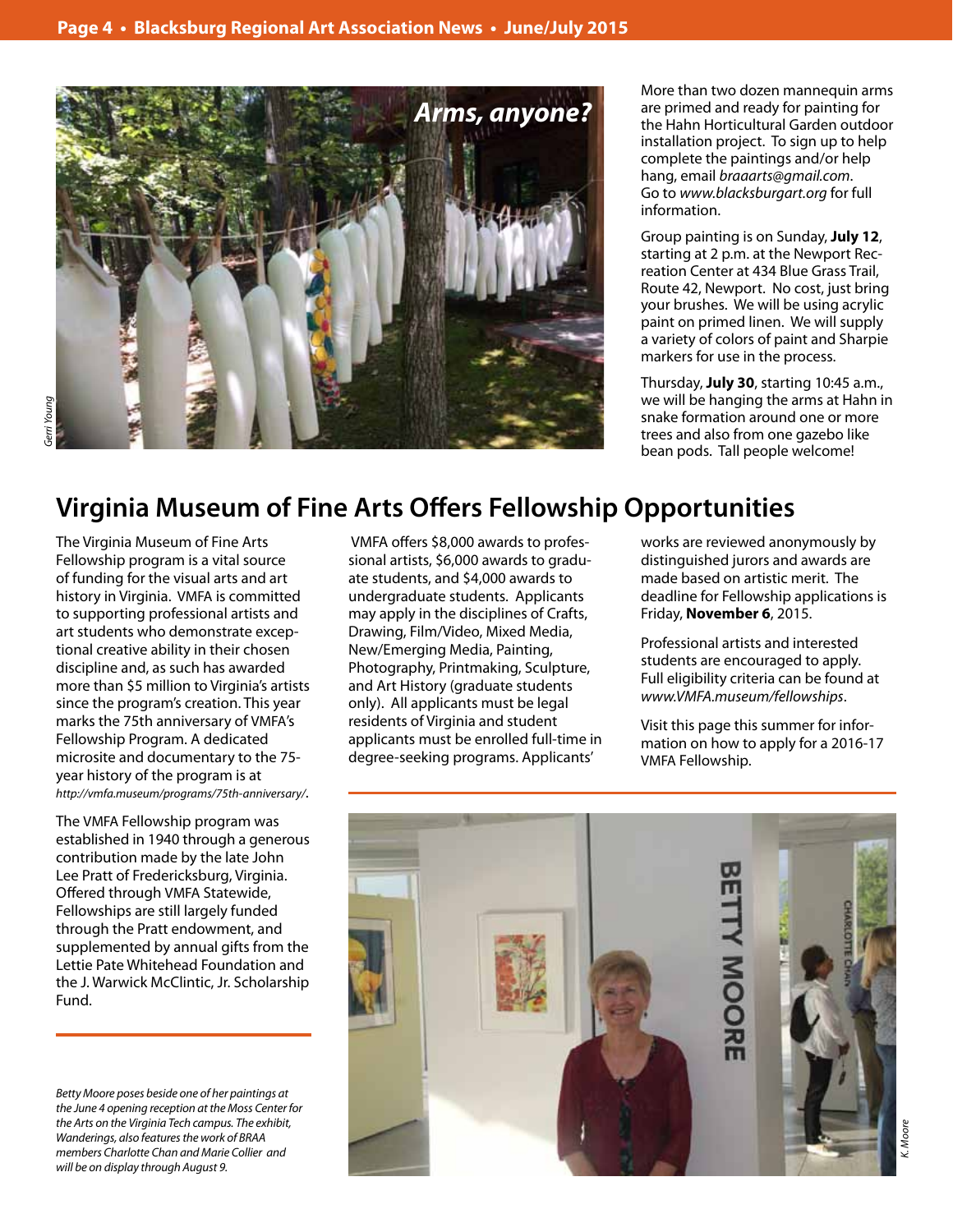

More than two dozen mannequin arms are primed and ready for painting for the Hahn Horticultural Garden outdoor installation project. To sign up to help complete the paintings and/or help hang, email *braaarts@gmail.com*. Go to *www.blacksburgart.org* for full information.

Group painting is on Sunday, **July 12**, starting at 2 p.m. at the Newport Recreation Center at 434 Blue Grass Trail, Route 42, Newport. No cost, just bring your brushes. We will be using acrylic paint on primed linen. We will supply a variety of colors of paint and Sharpie markers for use in the process.

Thursday, **July 30**, starting 10:45 a.m., we will be hanging the arms at Hahn in snake formation around one or more trees and also from one gazebo like bean pods. Tall people welcome!

# **Virginia Museum of Fine Arts Offers Fellowship Opportunities**

The Virginia Museum of Fine Arts Fellowship program is a vital source of funding for the visual arts and art history in Virginia. VMFA is committed to supporting professional artists and art students who demonstrate exceptional creative ability in their chosen discipline and, as such has awarded more than \$5 million to Virginia's artists since the program's creation. This year marks the 75th anniversary of VMFA's Fellowship Program. A dedicated microsite and documentary to the 75 year history of the program is at *http://vmfa.museum/programs/75th-anniversary/*.

The VMFA Fellowship program was established in 1940 through a generous contribution made by the late John Lee Pratt of Fredericksburg, Virginia. Offered through VMFA Statewide, Fellowships are still largely funded through the Pratt endowment, and supplemented by annual gifts from the Lettie Pate Whitehead Foundation and the J. Warwick McClintic, Jr. Scholarship Fund.

*Betty Moore poses beside one of her paintings at the June 4 opening reception at the Moss Center for the Arts on the Virginia Tech campus. The exhibit, Wanderings, also features the work of BRAA members Charlotte Chan and Marie Collier and will be on display through August 9.* 

 VMFA offers \$8,000 awards to professional artists, \$6,000 awards to graduate students, and \$4,000 awards to undergraduate students. Applicants may apply in the disciplines of Crafts, Drawing, Film/Video, Mixed Media, New/Emerging Media, Painting, Photography, Printmaking, Sculpture, and Art History (graduate students only). All applicants must be legal residents of Virginia and student applicants must be enrolled full-time in degree-seeking programs. Applicants'

works are reviewed anonymously by distinguished jurors and awards are made based on artistic merit. The deadline for Fellowship applications is Friday, **November 6**, 2015.

Professional artists and interested students are encouraged to apply. Full eligibility criteria can be found at *www.VMFA.museum/fellowships*.

Visit this page this summer for information on how to apply for a 2016-17 VMFA Fellowship.

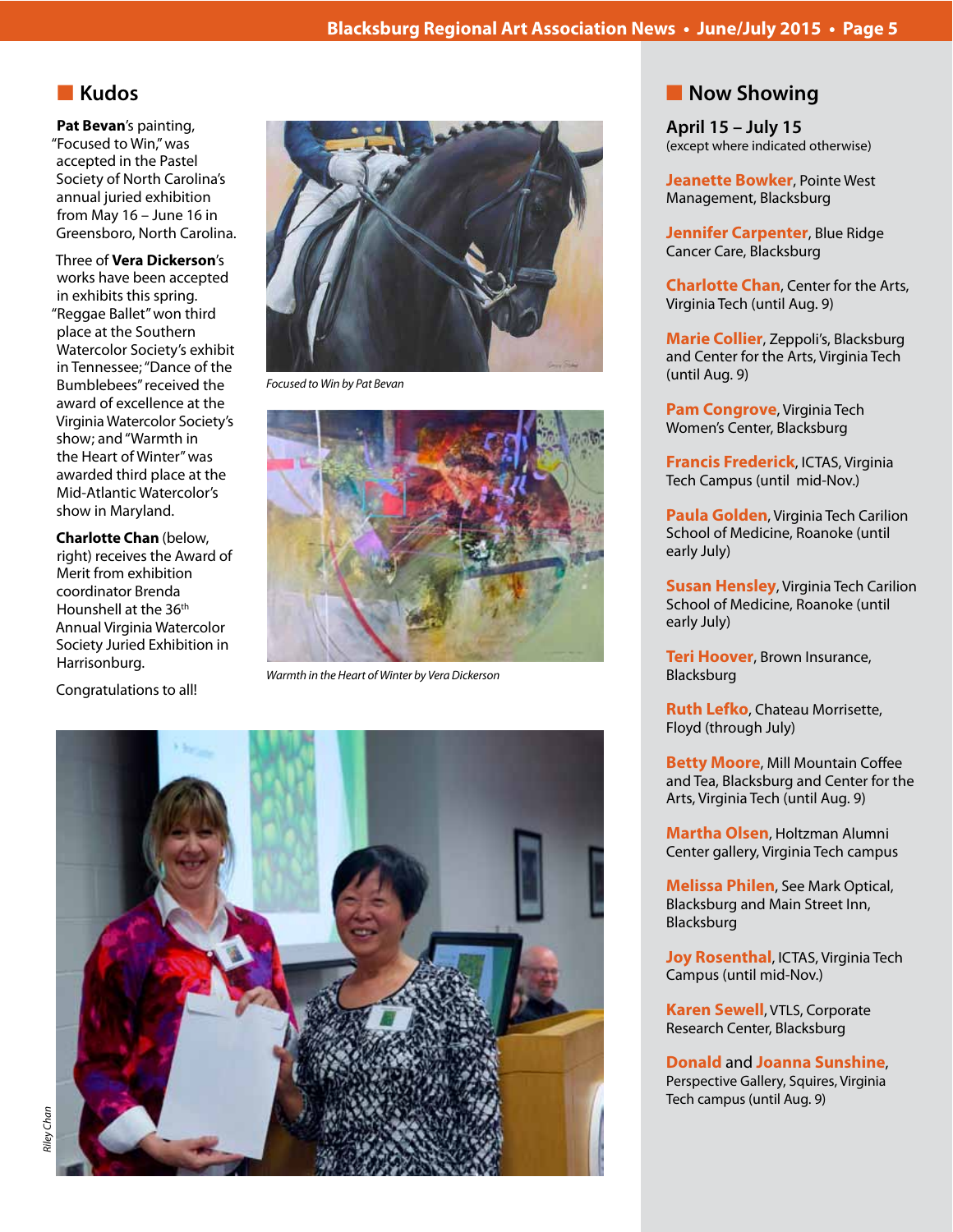# **n** Kudos

**Pat Bevan**'s painting, "Focused to Win," was accepted in the Pastel Society of North Carolina's annual juried exhibition from May 16 – June 16 in Greensboro, North Carolina.

Three of **Vera Dickerson**'s works have been accepted in exhibits this spring. "Reggae Ballet" won third place at the Southern Watercolor Society's exhibit in Tennessee; "Dance of the Bumblebees" received the award of excellence at the Virginia Watercolor Society's show; and "Warmth in the Heart of Winter" was awarded third place at the Mid-Atlantic Watercolor's show in Maryland.

**Charlotte Chan** (below, right) receives the Award of Merit from exhibition coordinator Brenda Hounshell at the 36<sup>th</sup> Annual Virginia Watercolor Society Juried Exhibition in Harrisonburg.

Congratulations to all!



*Focused to Win by Pat Bevan*



*Warmth in the Heart of Winter by Vera Dickerson*



# **Now Showing**

**April 15 – July 15** (except where indicated otherwise)

**Jeanette Bowker**, Pointe West Management, Blacksburg

**Jennifer Carpenter**, Blue Ridge Cancer Care, Blacksburg

**Charlotte Chan**, Center for the Arts, Virginia Tech (until Aug. 9)

**Marie Collier**, Zeppoli's, Blacksburg and Center for the Arts, Virginia Tech (until Aug. 9)

**Pam Congrove**, Virginia Tech Women's Center, Blacksburg

**Francis Frederick**, ICTAS, Virginia Tech Campus (until mid-Nov.)

**Paula Golden**, Virginia Tech Carilion School of Medicine, Roanoke (until early July)

**Susan Hensley**, Virginia Tech Carilion School of Medicine, Roanoke (until early July)

**Teri Hoover**, Brown Insurance, Blacksburg

**Ruth Lefko**, Chateau Morrisette, Floyd (through July)

**Betty Moore**, Mill Mountain Coffee and Tea, Blacksburg and Center for the Arts, Virginia Tech (until Aug. 9)

**Martha Olsen**, Holtzman Alumni Center gallery, Virginia Tech campus

**Melissa Philen**, See Mark Optical, Blacksburg and Main Street Inn, Blacksburg

**Joy Rosenthal, ICTAS, Virginia Tech** Campus (until mid-Nov.)

**Karen Sewell**, VTLS, Corporate Research Center, Blacksburg

**Donald** and **Joanna Sunshine**, Perspective Gallery, Squires, Virginia Tech campus (until Aug. 9)

*Riley Chan*